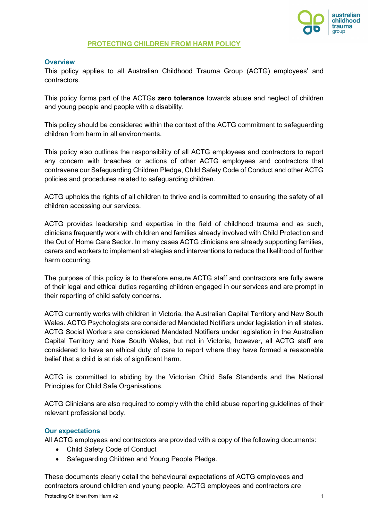

#### **PROTECTING CHILDREN FROM HARM POLICY**

#### **Overview**

This policy applies to all Australian Childhood Trauma Group (ACTG) employees' and contractors.

This policy forms part of the ACTGs **zero tolerance** towards abuse and neglect of children and young people and people with a disability.

This policy should be considered within the context of the ACTG commitment to safeguarding children from harm in all environments.

This policy also outlines the responsibility of all ACTG employees and contractors to report any concern with breaches or actions of other ACTG employees and contractors that contravene our Safeguarding Children Pledge, Child Safety Code of Conduct and other ACTG policies and procedures related to safeguarding children.

ACTG upholds the rights of all children to thrive and is committed to ensuring the safety of all children accessing our services.

ACTG provides leadership and expertise in the field of childhood trauma and as such, clinicians frequently work with children and families already involved with Child Protection and the Out of Home Care Sector. In many cases ACTG clinicians are already supporting families, carers and workers to implement strategies and interventions to reduce the likelihood of further harm occurring.

The purpose of this policy is to therefore ensure ACTG staff and contractors are fully aware of their legal and ethical duties regarding children engaged in our services and are prompt in their reporting of child safety concerns.

ACTG currently works with children in Victoria, the Australian Capital Territory and New South Wales. ACTG Psychologists are considered Mandated Notifiers under legislation in all states. ACTG Social Workers are considered Mandated Notifiers under legislation in the Australian Capital Territory and New South Wales, but not in Victoria, however, all ACTG staff are considered to have an ethical duty of care to report where they have formed a reasonable belief that a child is at risk of significant harm.

ACTG is committed to abiding by the Victorian Child Safe Standards and the National Principles for Child Safe Organisations.

ACTG Clinicians are also required to comply with the child abuse reporting guidelines of their relevant professional body.

#### **Our expectations**

All ACTG employees and contractors are provided with a copy of the following documents:

- Child Safety Code of Conduct
- Safeguarding Children and Young People Pledge.

These documents clearly detail the behavioural expectations of ACTG employees and contractors around children and young people. ACTG employees and contractors are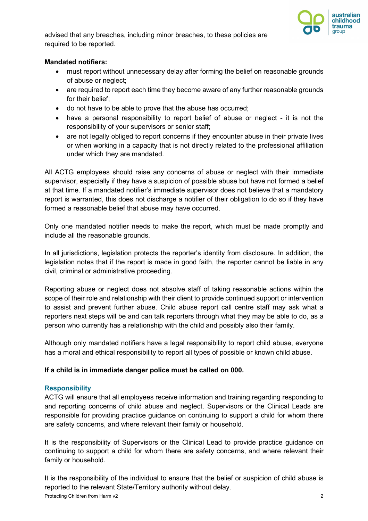

advised that any breaches, including minor breaches, to these policies are required to be reported.

#### **Mandated notifiers:**

- must report without unnecessary delay after forming the belief on reasonable grounds of abuse or neglect;
- are required to report each time they become aware of any further reasonable grounds for their belief;
- do not have to be able to prove that the abuse has occurred;
- have a personal responsibility to report belief of abuse or neglect it is not the responsibility of your supervisors or senior staff;
- are not legally obliged to report concerns if they encounter abuse in their private lives or when working in a capacity that is not directly related to the professional affiliation under which they are mandated.

All ACTG employees should raise any concerns of abuse or neglect with their immediate supervisor, especially if they have a suspicion of possible abuse but have not formed a belief at that time. If a mandated notifier's immediate supervisor does not believe that a mandatory report is warranted, this does not discharge a notifier of their obligation to do so if they have formed a reasonable belief that abuse may have occurred.

Only one mandated notifier needs to make the report, which must be made promptly and include all the reasonable grounds.

In all jurisdictions, legislation protects the reporter's identity from disclosure. In addition, the legislation notes that if the report is made in good faith, the reporter cannot be liable in any civil, criminal or administrative proceeding.

Reporting abuse or neglect does not absolve staff of taking reasonable actions within the scope of their role and relationship with their client to provide continued support or intervention to assist and prevent further abuse. Child abuse report call centre staff may ask what a reporters next steps will be and can talk reporters through what they may be able to do, as a person who currently has a relationship with the child and possibly also their family.

Although only mandated notifiers have a legal responsibility to report child abuse, everyone has a moral and ethical responsibility to report all types of possible or known child abuse.

#### **If a child is in immediate danger police must be called on 000.**

#### **Responsibility**

ACTG will ensure that all employees receive information and training regarding responding to and reporting concerns of child abuse and neglect. Supervisors or the Clinical Leads are responsible for providing practice guidance on continuing to support a child for whom there are safety concerns, and where relevant their family or household.

It is the responsibility of Supervisors or the Clinical Lead to provide practice guidance on continuing to support a child for whom there are safety concerns, and where relevant their family or household.

Protecting Children from Harm v2 2 It is the responsibility of the individual to ensure that the belief or suspicion of child abuse is reported to the relevant State/Territory authority without delay.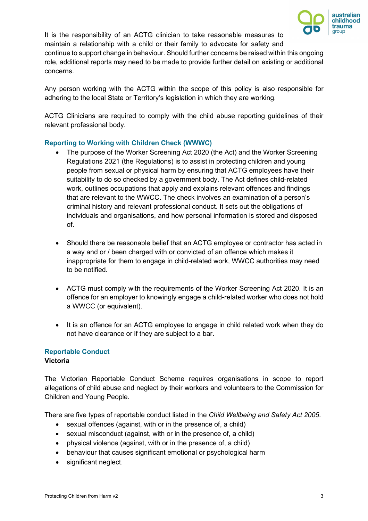

It is the responsibility of an ACTG clinician to take reasonable measures to maintain a relationship with a child or their family to advocate for safety and continue to support change in behaviour. Should further concerns be raised within this ongoing role, additional reports may need to be made to provide further detail on existing or additional concerns.

Any person working with the ACTG within the scope of this policy is also responsible for adhering to the local State or Territory's legislation in which they are working.

ACTG Clinicians are required to comply with the child abuse reporting guidelines of their relevant professional body.

### **Reporting to Working with Children Check (WWWC)**

- The purpose of the Worker Screening Act 2020 (the Act) and the Worker Screening Regulations 2021 (the Regulations) is to assist in protecting children and young people from sexual or physical harm by ensuring that ACTG employees have their suitability to do so checked by a government body. The Act defines child-related work, outlines occupations that apply and explains relevant offences and findings that are relevant to the WWCC. The check involves an examination of a person's criminal history and relevant professional conduct. It sets out the obligations of individuals and organisations, and how personal information is stored and disposed of.
- Should there be reasonable belief that an ACTG employee or contractor has acted in a way and or / been charged with or convicted of an offence which makes it inappropriate for them to engage in child-related work, WWCC authorities may need to be notified.
- ACTG must comply with the requirements of the Worker Screening Act 2020. It is an offence for an employer to knowingly engage a child-related worker who does not hold a WWCC (or equivalent).
- It is an offence for an ACTG employee to engage in child related work when they do not have clearance or if they are subject to a bar.

# **Reportable Conduct**

#### **Victoria**

The Victorian Reportable Conduct Scheme requires organisations in scope to report allegations of child abuse and neglect by their workers and volunteers to the Commission for Children and Young People.

There are five types of reportable conduct listed in the *Child Wellbeing and Safety Act 2005*.

- sexual offences (against, with or in the presence of, a child)
- sexual misconduct (against, with or in the presence of, a child)
- physical violence (against, with or in the presence of, a child)
- behaviour that causes significant emotional or psychological harm
- significant neglect.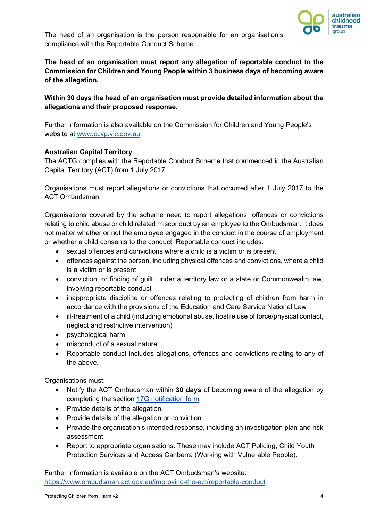

The head of an organisation is the person responsible for an organisation's compliance with the Reportable Conduct Scheme.

## **The head of an organisation must report any allegation of reportable conduct to the Commission for Children and Young People within 3 business days of becoming aware of the allegation.**

## **Within 30 days the head of an organisation must provide detailed information about the allegations and their proposed response.**

Further information is also available on the Commission for Children and Young People's website at [www.ccyp.vic.gov.au](file://internal.vic.gov.au/DHHS/HomeDirs4/pboa1510/Documents/Offline%20Records%20(DP)/Reportable%20%7E%20&%20WELLBEING%20-%20POLICY%20&%20PROCEDURES/www.ccyp.vic.gov.au)

#### **Australian Capital Territory**

The ACTG complies with the Reportable Conduct Scheme that commenced in the Australian Capital Territory (ACT) from 1 July 2017.

Organisations must report allegations or convictions that occurred after 1 July 2017 to the ACT Ombudsman.

Organisations covered by the scheme need to report allegations, offences or convictions relating to child abuse or child related misconduct by an employee to the Ombudsman. It does not matter whether or not the employee engaged in the conduct in the course of employment or whether a child consents to the conduct. Reportable conduct includes:

- sexual offences and convictions where a child is a victim or is present
- offences against the person, including physical offences and convictions, where a child is a victim or is present
- conviction, or finding of guilt, under a territory law or a state or Commonwealth law, involving reportable conduct
- inappropriate discipline or offences relating to protecting of children from harm in accordance with the provisions of the Education and Care Service National Law
- ill-treatment of a child (including emotional abuse, hostile use of force/physical contact, neglect and restrictive intervention)
- psychological harm
- misconduct of a sexual nature.
- Reportable conduct includes allegations, offences and convictions relating to any of the above.

Organisations must:

- Notify the ACT Ombudsman within **30 days** of becoming aware of the allegation by completing the section [17G notification form](https://www.ombudsman.act.gov.au/__data/assets/pdf_file/0025/48166/s-17G-Notification-coversheet.pdf)
- Provide details of the allegation.
- Provide details of the allegation or conviction.
- Provide the organisation's intended response, including an investigation plan and risk assessment.
- Report to appropriate organisations. These may include ACT Policing, Child Youth Protection Services and Access Canberra (Working with Vulnerable People).

Further information is available on the ACT Ombudsman's website: <https://www.ombudsman.act.gov.au/improving-the-act/reportable-conduct>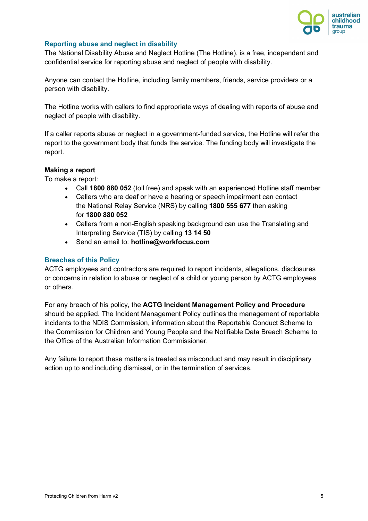

#### **Reporting abuse and neglect in disability**

The National Disability Abuse and Neglect Hotline (The Hotline), is a free, independent and confidential service for reporting abuse and neglect of people with disability.

Anyone can contact the Hotline, including family members, friends, service providers or a person with disability.

The Hotline works with callers to find appropriate ways of dealing with reports of abuse and neglect of people with disability.

If a caller reports abuse or neglect in a government-funded service, the Hotline will refer the report to the government body that funds the service. The funding body will investigate the report.

#### **Making a report**

To make a report:

- Call **1800 880 052** (toll free) and speak with an experienced Hotline staff member
- Callers who are deaf or have a hearing or speech impairment can contact the [National Relay Service \(NRS\)](http://www.relayservice.gov.au/) by calling **1800 555 677** then asking for **1800 880 052**
- Callers from a non-English speaking background can use the [Translating and](http://www.tisnational.gov.au/)  [Interpreting Service \(TIS\)](http://www.tisnational.gov.au/) by calling **13 14 50**
- Send an email to: **[hotline@workfocus.com](mailto:hotline@workfocus.com)**

#### **Breaches of this Policy**

ACTG employees and contractors are required to report incidents, allegations, disclosures or concerns in relation to abuse or neglect of a child or young person by ACTG employees or others.

For any breach of his policy, the **ACTG Incident Management Policy and Procedure** should be applied. The Incident Management Policy outlines the management of reportable incidents to the NDIS Commission, information about the Reportable Conduct Scheme to the Commission for Children and Young People and the Notifiable Data Breach Scheme to the Office of the Australian Information Commissioner.

Any failure to report these matters is treated as misconduct and may result in disciplinary action up to and including dismissal, or in the termination of services.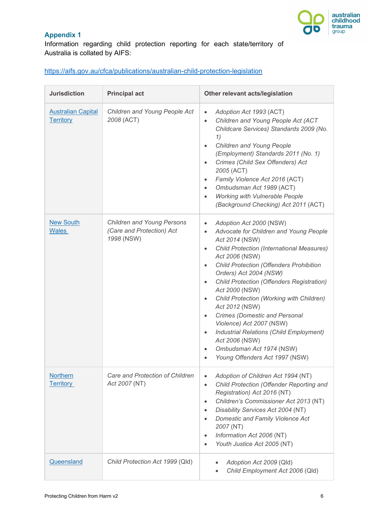

## **Appendix 1**

Information regarding child protection reporting for each state/territory of Australia is collated by AIFS:

## <https://aifs.gov.au/cfca/publications/australian-child-protection-legislation>

| <b>Jurisdiction</b>                           | <b>Principal act</b>                                                         | Other relevant acts/legislation                                                                                                                                                                                                                                                                                                                                                                                                                                                                                                                                                                                                                                     |  |
|-----------------------------------------------|------------------------------------------------------------------------------|---------------------------------------------------------------------------------------------------------------------------------------------------------------------------------------------------------------------------------------------------------------------------------------------------------------------------------------------------------------------------------------------------------------------------------------------------------------------------------------------------------------------------------------------------------------------------------------------------------------------------------------------------------------------|--|
| <b>Australian Capital</b><br><b>Territory</b> | Children and Young People Act<br>2008 (ACT)                                  | Adoption Act 1993 (ACT)<br>$\bullet$<br>Children and Young People Act (ACT<br>$\bullet$<br>Childcare Services) Standards 2009 (No.<br>1)<br>Children and Young People<br>$\bullet$<br>(Employment) Standards 2011 (No. 1)<br>Crimes (Child Sex Offenders) Act<br>2005 (ACT)<br>Family Violence Act 2016 (ACT)<br>$\bullet$<br>Ombudsman Act 1989 (ACT)<br><b>Working with Vulnerable People</b><br>$\bullet$<br>(Background Checking) Act 2011 (ACT)                                                                                                                                                                                                                |  |
| <b>New South</b><br>Wales                     | <b>Children and Young Persons</b><br>(Care and Protection) Act<br>1998 (NSW) | Adoption Act 2000 (NSW)<br>$\bullet$<br>Advocate for Children and Young People<br>$\bullet$<br>Act 2014 (NSW)<br><b>Child Protection (International Measures)</b><br>$\bullet$<br>Act 2006 (NSW)<br><b>Child Protection (Offenders Prohibition</b><br>$\bullet$<br>Orders) Act 2004 (NSW)<br><b>Child Protection (Offenders Registration)</b><br>$\bullet$<br>Act 2000 (NSW)<br>Child Protection (Working with Children)<br>$\bullet$<br>Act 2012 (NSW)<br><b>Crimes (Domestic and Personal</b><br>Violence) Act 2007 (NSW)<br>Industrial Relations (Child Employment)<br>$\bullet$<br>Act 2006 (NSW)<br>Ombudsman Act 1974 (NSW)<br>Young Offenders Act 1997 (NSW) |  |
| <b>Northern</b><br><b>Territory</b>           | Care and Protection of Children<br>Act 2007 (NT)                             | Adoption of Children Act 1994 (NT)<br>Child Protection (Offender Reporting and<br>Registration) Act 2016 (NT)<br>Children's Commissioner Act 2013 (NT)<br>Disability Services Act 2004 (NT)<br>Domestic and Family Violence Act<br>2007 (NT)<br>Information Act 2006 (NT)<br>Youth Justice Act 2005 (NT)                                                                                                                                                                                                                                                                                                                                                            |  |
| Queensland                                    | Child Protection Act 1999 (Qld)                                              | Adoption Act 2009 (Qld)<br>Child Employment Act 2006 (Qld)                                                                                                                                                                                                                                                                                                                                                                                                                                                                                                                                                                                                          |  |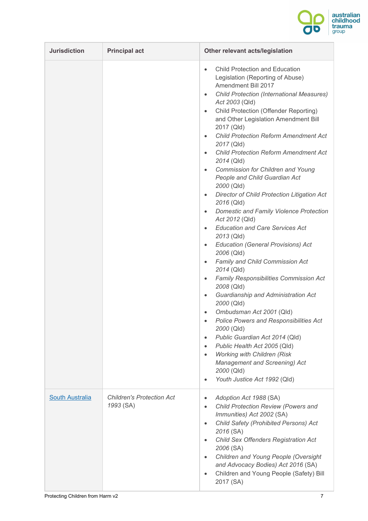

| <b>Jurisdiction</b>    | <b>Principal act</b>                          | Other relevant acts/legislation                                                                                                                                                                                                                                                                                                                                                                                                                                                                                                                                                                                                                                                                                                                                                                                                                                                                                                                                                                                                                                                                                                                                                                                                                                                                                                                                                                                  |
|------------------------|-----------------------------------------------|------------------------------------------------------------------------------------------------------------------------------------------------------------------------------------------------------------------------------------------------------------------------------------------------------------------------------------------------------------------------------------------------------------------------------------------------------------------------------------------------------------------------------------------------------------------------------------------------------------------------------------------------------------------------------------------------------------------------------------------------------------------------------------------------------------------------------------------------------------------------------------------------------------------------------------------------------------------------------------------------------------------------------------------------------------------------------------------------------------------------------------------------------------------------------------------------------------------------------------------------------------------------------------------------------------------------------------------------------------------------------------------------------------------|
|                        |                                               | <b>Child Protection and Education</b><br>$\bullet$<br>Legislation (Reporting of Abuse)<br>Amendment Bill 2017<br><b>Child Protection (International Measures)</b><br>$\bullet$<br>Act 2003 (Qld)<br>Child Protection (Offender Reporting)<br>$\bullet$<br>and Other Legislation Amendment Bill<br>2017 (Qld)<br><b>Child Protection Reform Amendment Act</b><br>$\bullet$<br>2017 (Qld)<br><b>Child Protection Reform Amendment Act</b><br>$\bullet$<br>2014 (Qld)<br>Commission for Children and Young<br>$\bullet$<br>People and Child Guardian Act<br>2000 (Qld)<br>Director of Child Protection Litigation Act<br>$\bullet$<br>2016 (Qld)<br>Domestic and Family Violence Protection<br>$\bullet$<br>Act 2012 (Qld)<br><b>Education and Care Services Act</b><br>2013 (Qld)<br><b>Education (General Provisions) Act</b><br>$\bullet$<br>2006 (Qld)<br>Family and Child Commission Act<br>$\bullet$<br>2014 (Qld)<br><b>Family Responsibilities Commission Act</b><br>$\bullet$<br>2008 (Qld)<br>Guardianship and Administration Act<br>$\bullet$<br>2000 (Qld)<br>Ombudsman Act 2001 (Qld)<br><b>Police Powers and Responsibilities Act</b><br>2000 (Qld)<br>Public Guardian Act 2014 (Qld)<br>$\bullet$<br>Public Health Act 2005 (Qld)<br>$\bullet$<br><b>Working with Children (Risk</b><br>$\bullet$<br><b>Management and Screening) Act</b><br>2000 (Qld)<br>Youth Justice Act 1992 (Qld)<br>$\bullet$ |
| <b>South Australia</b> | <b>Children's Protection Act</b><br>1993 (SA) | Adoption Act 1988 (SA)<br>$\bullet$<br>Child Protection Review (Powers and<br>$\bullet$<br>Immunities) Act 2002 (SA)<br>Child Safety (Prohibited Persons) Act<br>$\bullet$<br>2016 (SA)<br>Child Sex Offenders Registration Act<br>$\bullet$<br>2006 (SA)<br>Children and Young People (Oversight<br>$\bullet$<br>and Advocacy Bodies) Act 2016 (SA)<br>Children and Young People (Safety) Bill<br>$\bullet$<br>2017 (SA)                                                                                                                                                                                                                                                                                                                                                                                                                                                                                                                                                                                                                                                                                                                                                                                                                                                                                                                                                                                        |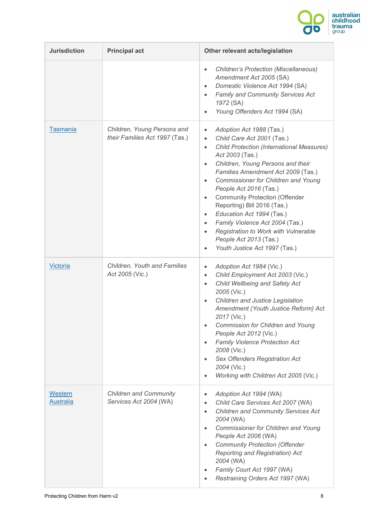

| <b>Jurisdiction</b>         | <b>Principal act</b>                                          | Other relevant acts/legislation                                                                                                                                                                                                                                                                                                                                                                                                                                                                                                                                                                                                           |  |  |
|-----------------------------|---------------------------------------------------------------|-------------------------------------------------------------------------------------------------------------------------------------------------------------------------------------------------------------------------------------------------------------------------------------------------------------------------------------------------------------------------------------------------------------------------------------------------------------------------------------------------------------------------------------------------------------------------------------------------------------------------------------------|--|--|
|                             |                                                               | <b>Children's Protection (Miscellaneous)</b><br>$\bullet$<br>Amendment Act 2005 (SA)<br>Domestic Violence Act 1994 (SA)<br>$\bullet$<br>Family and Community Services Act<br>$\bullet$<br>1972 (SA)<br>Young Offenders Act 1994 (SA)                                                                                                                                                                                                                                                                                                                                                                                                      |  |  |
| <b>Tasmania</b>             | Children, Young Persons and<br>their Families Act 1997 (Tas.) | Adoption Act 1988 (Tas.)<br>$\bullet$<br>Child Care Act 2001 (Tas.)<br>$\bullet$<br><b>Child Protection (International Measures)</b><br>$\bullet$<br>Act 2003 (Tas.)<br>Children, Young Persons and their<br>$\bullet$<br>Families Amendment Act 2009 (Tas.)<br>Commissioner for Children and Young<br>$\bullet$<br>People Act 2016 (Tas.)<br><b>Community Protection (Offender</b><br>$\bullet$<br>Reporting) Bill 2016 (Tas.)<br>Education Act 1994 (Tas.)<br>$\bullet$<br>Family Violence Act 2004 (Tas.)<br>$\bullet$<br>Registration to Work with Vulnerable<br>People Act 2013 (Tas.)<br>Youth Justice Act 1997 (Tas.)<br>$\bullet$ |  |  |
| Victoria                    | Children, Youth and Families<br>Act 2005 (Vic.)               | Adoption Act 1984 (Vic.)<br>$\bullet$<br>Child Employment Act 2003 (Vic.)<br>$\bullet$<br>Child Wellbeing and Safety Act<br>$\bullet$<br>2005 (Vic.)<br>Children and Justice Legislation<br>$\bullet$<br>Amendment (Youth Justice Reform) Act<br>2017 (Vic.)<br>Commission for Children and Young<br>People Act 2012 (Vic.)<br>Family Violence Protection Act<br>2008 (Vic.)<br>Sex Offenders Registration Act<br>$\bullet$<br>2004 (Vic.)<br>Working with Children Act 2005 (Vic.)                                                                                                                                                       |  |  |
| Western<br><b>Australia</b> | <b>Children and Community</b><br>Services Act 2004 (WA)       | Adoption Act 1994 (WA)<br>٠<br>Child Care Services Act 2007 (WA)<br>$\bullet$<br><b>Children and Community Services Act</b><br>$\bullet$<br>2004 (WA)<br>Commissioner for Children and Young<br>$\bullet$<br>People Act 2006 (WA)<br><b>Community Protection (Offender</b><br>$\bullet$<br><b>Reporting and Registration) Act</b><br>2004 (WA)<br>Family Court Act 1997 (WA)<br>٠<br>Restraining Orders Act 1997 (WA)<br>٠                                                                                                                                                                                                                |  |  |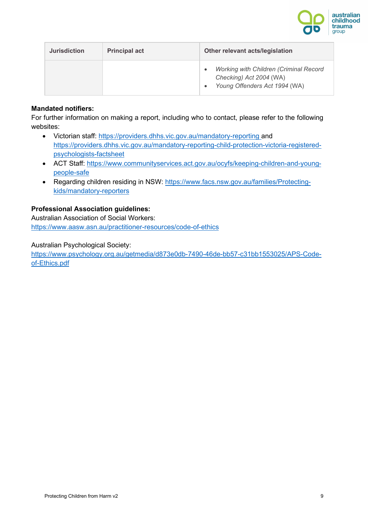

| <b>Jurisdiction</b> | <b>Principal act</b> | Other relevant acts/legislation                                                                           |  |  |
|---------------------|----------------------|-----------------------------------------------------------------------------------------------------------|--|--|
|                     |                      | <b>Working with Children (Criminal Record</b><br>Checking) Act 2004 (WA)<br>Young Offenders Act 1994 (WA) |  |  |

#### **Mandated notifiers:**

For further information on making a report, including who to contact, please refer to the following websites:

- Victorian staff:<https://providers.dhhs.vic.gov.au/mandatory-reporting> and [https://providers.dhhs.vic.gov.au/mandatory-reporting-child-protection-victoria-registered](https://providers.dhhs.vic.gov.au/mandatory-reporting-child-protection-victoria-registered-psychologists-factsheet)[psychologists-factsheet](https://providers.dhhs.vic.gov.au/mandatory-reporting-child-protection-victoria-registered-psychologists-factsheet)
- ACT Staff: [https://www.communityservices.act.gov.au/ocyfs/keeping-children-and-young](https://www.communityservices.act.gov.au/ocyfs/keeping-children-and-young-people-safe)[people-safe](https://www.communityservices.act.gov.au/ocyfs/keeping-children-and-young-people-safe)
- Regarding children residing in NSW: [https://www.facs.nsw.gov.au/families/Protecting](https://www.facs.nsw.gov.au/families/Protecting-kids/mandatory-reporters)[kids/mandatory-reporters](https://www.facs.nsw.gov.au/families/Protecting-kids/mandatory-reporters)

### **Professional Association guidelines:**

Australian Association of Social Workers: <https://www.aasw.asn.au/practitioner-resources/code-of-ethics>

Australian Psychological Society:

[https://www.psychology.org.au/getmedia/d873e0db-7490-46de-bb57-c31bb1553025/APS-Code](https://www.psychology.org.au/getmedia/d873e0db-7490-46de-bb57-c31bb1553025/APS-Code-of-Ethics.pdf)[of-Ethics.pdf](https://www.psychology.org.au/getmedia/d873e0db-7490-46de-bb57-c31bb1553025/APS-Code-of-Ethics.pdf)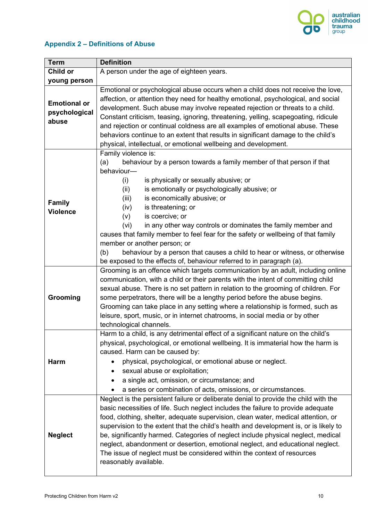

## **Appendix 2 – Definitions of Abuse**

| <b>Term</b>                                   | <b>Definition</b>                                                                                                                                                                                                                                                                                                                                                                                                                                                                                                                                                                                                                                                                    |  |  |  |
|-----------------------------------------------|--------------------------------------------------------------------------------------------------------------------------------------------------------------------------------------------------------------------------------------------------------------------------------------------------------------------------------------------------------------------------------------------------------------------------------------------------------------------------------------------------------------------------------------------------------------------------------------------------------------------------------------------------------------------------------------|--|--|--|
| Child or                                      | A person under the age of eighteen years.                                                                                                                                                                                                                                                                                                                                                                                                                                                                                                                                                                                                                                            |  |  |  |
| young person                                  |                                                                                                                                                                                                                                                                                                                                                                                                                                                                                                                                                                                                                                                                                      |  |  |  |
| <b>Emotional or</b><br>psychological<br>abuse | Emotional or psychological abuse occurs when a child does not receive the love,<br>affection, or attention they need for healthy emotional, psychological, and social<br>development. Such abuse may involve repeated rejection or threats to a child.<br>Constant criticism, teasing, ignoring, threatening, yelling, scapegoating, ridicule<br>and rejection or continual coldness are all examples of emotional abuse. These<br>behaviors continue to an extent that results in significant damage to the child's<br>physical, intellectual, or emotional wellbeing and development.                                                                                              |  |  |  |
| <b>Family</b><br><b>Violence</b>              | Family violence is:<br>behaviour by a person towards a family member of that person if that<br>(a)<br>behaviour-<br>is physically or sexually abusive; or<br>(i)<br>is emotionally or psychologically abusive; or<br>(ii)<br>(iii)<br>is economically abusive; or<br>is threatening; or<br>(iv)<br>is coercive; or<br>(v)<br>in any other way controls or dominates the family member and<br>(vi)<br>causes that family member to feel fear for the safety or wellbeing of that family<br>member or another person; or<br>(b)<br>behaviour by a person that causes a child to hear or witness, or otherwise<br>be exposed to the effects of, behaviour referred to in paragraph (a). |  |  |  |
| Grooming                                      | Grooming is an offence which targets communication by an adult, including online<br>communication, with a child or their parents with the intent of committing child<br>sexual abuse. There is no set pattern in relation to the grooming of children. For<br>some perpetrators, there will be a lengthy period before the abuse begins.<br>Grooming can take place in any setting where a relationship is formed, such as<br>leisure, sport, music, or in internet chatrooms, in social media or by other<br>technological channels.                                                                                                                                                |  |  |  |
| Harm                                          | Harm to a child, is any detrimental effect of a significant nature on the child's<br>physical, psychological, or emotional wellbeing. It is immaterial how the harm is<br>caused. Harm can be caused by:<br>physical, psychological, or emotional abuse or neglect.<br>sexual abuse or exploitation;<br>a single act, omission, or circumstance; and<br>a series or combination of acts, omissions, or circumstances.                                                                                                                                                                                                                                                                |  |  |  |
| <b>Neglect</b>                                | Neglect is the persistent failure or deliberate denial to provide the child with the<br>basic necessities of life. Such neglect includes the failure to provide adequate<br>food, clothing, shelter, adequate supervision, clean water, medical attention, or<br>supervision to the extent that the child's health and development is, or is likely to<br>be, significantly harmed. Categories of neglect include physical neglect, medical<br>neglect, abandonment or desertion, emotional neglect, and educational neglect.<br>The issue of neglect must be considered within the context of resources<br>reasonably available.                                                    |  |  |  |